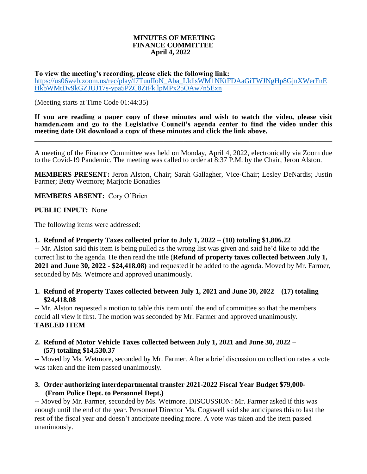#### **MINUTES OF MEETING FINANCE COMMITTEE April 4, 2022**

**To view the meeting's recording, please click the following link:** [https://us06web.zoom.us/rec/play/f7TuuIIoN\\_Aba\\_LIdisWM1NKtFDAaGiTWJNgHp8GjnXWerFnE](https://us06web.zoom.us/rec/play/f7TuuIIoN_Aba_LIdisWM1NKtFDAaGiTWJNgHp8GjnXWerFnEHkbWMtDv9kGZJUJ17s-ypa5PZC8ZtFk.lpMPx25OAw7n5Exn) [HkbWMtDv9kGZJUJ17s-ypa5PZC8ZtFk.lpMPx25OAw7n5Exn](https://us06web.zoom.us/rec/play/f7TuuIIoN_Aba_LIdisWM1NKtFDAaGiTWJNgHp8GjnXWerFnEHkbWMtDv9kGZJUJ17s-ypa5PZC8ZtFk.lpMPx25OAw7n5Exn)

(Meeting starts at Time Code 01:44:35)

**If you are reading a paper copy of these minutes and wish to watch the video, please visit hamden.com and go to the Legislative Council's agenda center to find the video under this meeting date OR download a copy of these minutes and click the link above.**

**\_\_\_\_\_\_\_\_\_\_\_\_\_\_\_\_\_\_\_\_\_\_\_\_\_\_\_\_\_\_\_\_\_\_\_\_\_\_\_\_\_\_\_\_\_\_\_\_\_\_\_\_\_\_\_\_\_\_\_\_\_\_\_\_\_\_\_\_\_\_\_\_\_\_\_\_\_\_\_\_\_\_\_\_\_\_\_\_\_\_**

A meeting of the Finance Committee was held on Monday, April 4, 2022, electronically via Zoom due to the Covid-19 Pandemic. The meeting was called to order at 8:37 P.M. by the Chair, Jeron Alston.

**MEMBERS PRESENT:** Jeron Alston, Chair; Sarah Gallagher, Vice-Chair; Lesley DeNardis; Justin Farmer; Betty Wetmore; Marjorie Bonadies

**MEMBERS ABSENT:** Cory O'Brien

**PUBLIC INPUT:** None

The following items were addressed:

#### **1. Refund of Property Taxes collected prior to July 1, 2022 – (10) totaling \$1,806.22**

-- Mr. Alston said this item is being pulled as the wrong list was given and said he'd like to add the correct list to the agenda. He then read the title (**Refund of property taxes collected between July 1, 2021 and June 30, 2022 - \$24,418.08)** and requested it be added to the agenda. Moved by Mr. Farmer, seconded by Ms. Wetmore and approved unanimously.

## **1. Refund of Property Taxes collected between July 1, 2021 and June 30, 2022 – (17) totaling \$24,418.08**

-- Mr. Alston requested a motion to table this item until the end of committee so that the members could all view it first. The motion was seconded by Mr. Farmer and approved unanimously. **TABLED ITEM**

**2. Refund of Motor Vehicle Taxes collected between July 1, 2021 and June 30, 2022 – (57) totaling \$14,530.37**

-- Moved by Ms. Wetmore, seconded by Mr. Farmer. After a brief discussion on collection rates a vote was taken and the item passed unanimously.

**3. Order authorizing interdepartmental transfer 2021-2022 Fiscal Year Budget \$79,000- (From Police Dept. to Personnel Dept.)** 

**--** Moved by Mr. Farmer, seconded by Ms. Wetmore. DISCUSSION: Mr. Farmer asked if this was enough until the end of the year. Personnel Director Ms. Cogswell said she anticipates this to last the rest of the fiscal year and doesn't anticipate needing more. A vote was taken and the item passed unanimously.